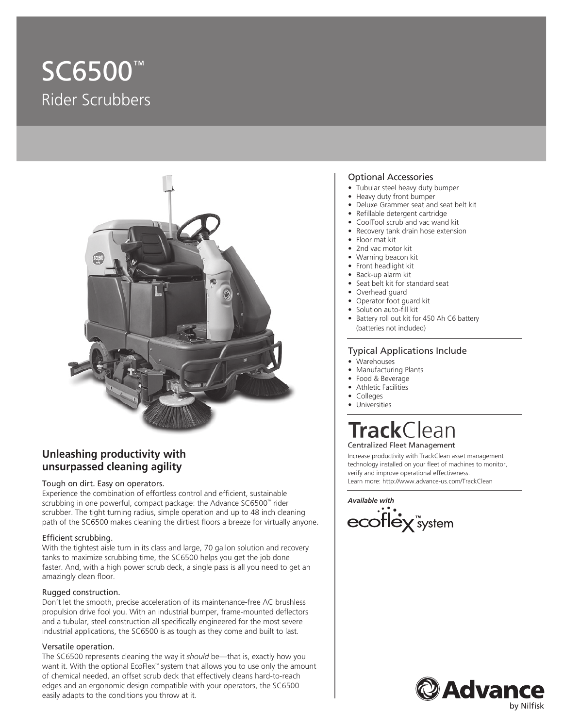# SC6500™ Rider Scrubbers



### **Unleashing productivity with unsurpassed cleaning agility**

#### Tough on dirt. Easy on operators.

Experience the combination of effortless control and efficient, sustainable scrubbing in one powerful, compact package: the Advance SC6500™ rider scrubber. The tight turning radius, simple operation and up to 48 inch cleaning path of the SC6500 makes cleaning the dirtiest floors a breeze for virtually anyone.

#### Efficient scrubbing.

With the tightest aisle turn in its class and large, 70 gallon solution and recovery tanks to maximize scrubbing time, the SC6500 helps you get the job done faster. And, with a high power scrub deck, a single pass is all you need to get an amazingly clean floor.

#### Rugged construction.

Don't let the smooth, precise acceleration of its maintenance-free AC brushless propulsion drive fool you. With an industrial bumper, frame-mounted deflectors and a tubular, steel construction all specifically engineered for the most severe industrial applications, the SC6500 is as tough as they come and built to last.

#### Versatile operation.

The SC6500 represents cleaning the way it *should* be—that is, exactly how you want it. With the optional EcoFlex™ system that allows you to use only the amount of chemical needed, an offset scrub deck that effectively cleans hard-to-reach edges and an ergonomic design compatible with your operators, the SC6500 easily adapts to the conditions you throw at it.

#### Optional Accessories

- Tubular steel heavy duty bumper
- Heavy duty front bumper
- Deluxe Grammer seat and seat belt kit
- Refillable detergent cartridge
- CoolTool scrub and vac wand kit
- Recovery tank drain hose extension
- Floor mat kit
- 2nd vac motor kit
- Warning beacon kit
- Front headlight kit
- Back-up alarm kit
- Seat belt kit for standard seat
- Overhead guard
- Operator foot guard kit
- Solution auto-fill kit
- Battery roll out kit for 450 Ah C6 battery (batteries not included)

#### Typical Applications Include

- Warehouses
- Manufacturing Plants
- Food & Beverage
- Athletic Facilities
- Colleges
- **Universities**

### **Track** Clean Centralized Fleet Management

Increase productivity with TrackClean asset management technology installed on your fleet of machines to monitor, verify and improve operational effectiveness. Learn more: http://www.advance-us.com/TrackClean